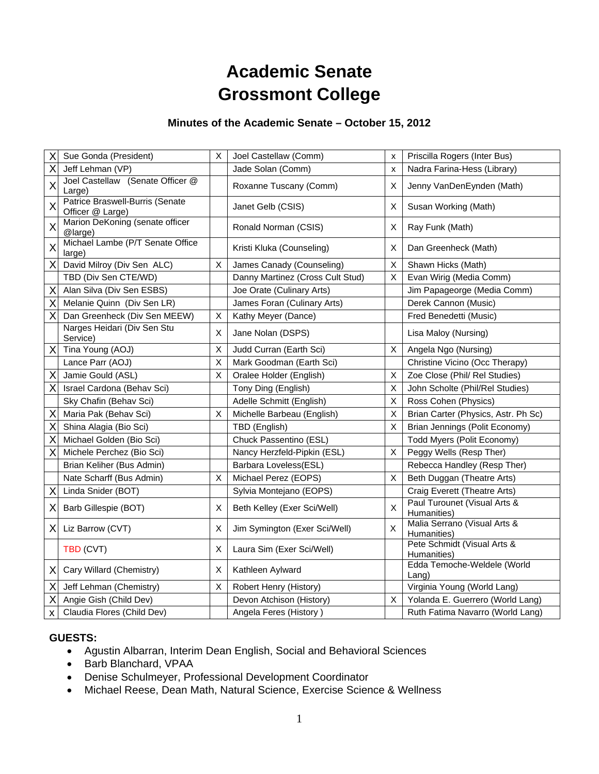# **Academic Senate Grossmont College**

# **Minutes of the Academic Senate – October 15, 2012**

| Χ                       | Sue Gonda (President)                               | X              | Joel Castellaw (Comm)            | X              | Priscilla Rogers (Inter Bus)                |
|-------------------------|-----------------------------------------------------|----------------|----------------------------------|----------------|---------------------------------------------|
| X                       | Jeff Lehman (VP)                                    |                | Jade Solan (Comm)                | X              | Nadra Farina-Hess (Library)                 |
| $\overline{\mathsf{x}}$ | Joel Castellaw (Senate Officer @<br>Large)          |                | Roxanne Tuscany (Comm)           | Х              | Jenny VanDenEynden (Math)                   |
| X                       | Patrice Braswell-Burris (Senate<br>Officer @ Large) |                | Janet Gelb (CSIS)                | X              | Susan Working (Math)                        |
| X                       | Marion DeKoning (senate officer<br>@large)          |                | Ronald Norman (CSIS)             | X              | Ray Funk (Math)                             |
| X                       | Michael Lambe (P/T Senate Office<br>large)          |                | Kristi Kluka (Counseling)        | Χ              | Dan Greenheck (Math)                        |
| X                       | David Milroy (Div Sen ALC)                          | X              | James Canady (Counseling)        | $\pmb{\times}$ | Shawn Hicks (Math)                          |
|                         | TBD (Div Sen CTE/WD)                                |                | Danny Martinez (Cross Cult Stud) | X              | Evan Wirig (Media Comm)                     |
| X                       | Alan Silva (Div Sen ESBS)                           |                | Joe Orate (Culinary Arts)        |                | Jim Papageorge (Media Comm)                 |
| Χ                       | Melanie Quinn (Div Sen LR)                          |                | James Foran (Culinary Arts)      |                | Derek Cannon (Music)                        |
| Χ                       | Dan Greenheck (Div Sen MEEW)                        | X              | Kathy Meyer (Dance)              |                | Fred Benedetti (Music)                      |
|                         | Narges Heidari (Div Sen Stu<br>Service)             | Х              | Jane Nolan (DSPS)                |                | Lisa Maloy (Nursing)                        |
| X                       | Tina Young (AOJ)                                    | X              | Judd Curran (Earth Sci)          | X              | Angela Ngo (Nursing)                        |
|                         | Lance Parr (AOJ)                                    | X              | Mark Goodman (Earth Sci)         |                | Christine Vicino (Occ Therapy)              |
| Χ                       | Jamie Gould (ASL)                                   | X              | Oralee Holder (English)          | X              | Zoe Close (Phil/ Rel Studies)               |
| X                       | Israel Cardona (Behav Sci)                          |                | Tony Ding (English)              | $\sf X$        | John Scholte (Phil/Rel Studies)             |
|                         | Sky Chafin (Behav Sci)                              |                | Adelle Schmitt (English)         | X              | Ross Cohen (Physics)                        |
| Χ                       | Maria Pak (Behav Sci)                               | X              | Michelle Barbeau (English)       | $\sf X$        | Brian Carter (Physics, Astr. Ph Sc)         |
| X                       | Shina Alagia (Bio Sci)                              |                | TBD (English)                    | X              | Brian Jennings (Polit Economy)              |
| Χ                       | Michael Golden (Bio Sci)                            |                | Chuck Passentino (ESL)           |                | Todd Myers (Polit Economy)                  |
| X                       | Michele Perchez (Bio Sci)                           |                | Nancy Herzfeld-Pipkin (ESL)      | X              | Peggy Wells (Resp Ther)                     |
|                         | Brian Keliher (Bus Admin)                           |                | Barbara Loveless(ESL)            |                | Rebecca Handley (Resp Ther)                 |
|                         | Nate Scharff (Bus Admin)                            | X              | Michael Perez (EOPS)             | X              | Beth Duggan (Theatre Arts)                  |
| Χ                       | Linda Snider (BOT)                                  |                | Sylvia Montejano (EOPS)          |                | Craig Everett (Theatre Arts)                |
| Χ                       | Barb Gillespie (BOT)                                | X              | Beth Kelley (Exer Sci/Well)      | $\mathsf{X}$   | Paul Turounet (Visual Arts &<br>Humanities) |
| X                       | Liz Barrow (CVT)                                    | Х              | Jim Symington (Exer Sci/Well)    | $\mathsf X$    | Malia Serrano (Visual Arts &<br>Humanities) |
|                         | TBD (CVT)                                           | $\pmb{\times}$ | Laura Sim (Exer Sci/Well)        |                | Pete Schmidt (Visual Arts &<br>Humanities)  |
| X                       | Cary Willard (Chemistry)                            | X              | Kathleen Aylward                 |                | Edda Temoche-Weldele (World<br>Lang)        |
| Χ                       | Jeff Lehman (Chemistry)                             | X              | Robert Henry (History)           |                | Virginia Young (World Lang)                 |
| Χ                       | Angie Gish (Child Dev)                              |                | Devon Atchison (History)         | X              | Yolanda E. Guerrero (World Lang)            |
| X                       | Claudia Flores (Child Dev)                          |                | Angela Feres (History)           |                | Ruth Fatima Navarro (World Lang)            |

### **GUESTS:**

- Agustin Albarran, Interim Dean English, Social and Behavioral Sciences
- Barb Blanchard, VPAA
- Denise Schulmeyer, Professional Development Coordinator
- Michael Reese, Dean Math, Natural Science, Exercise Science & Wellness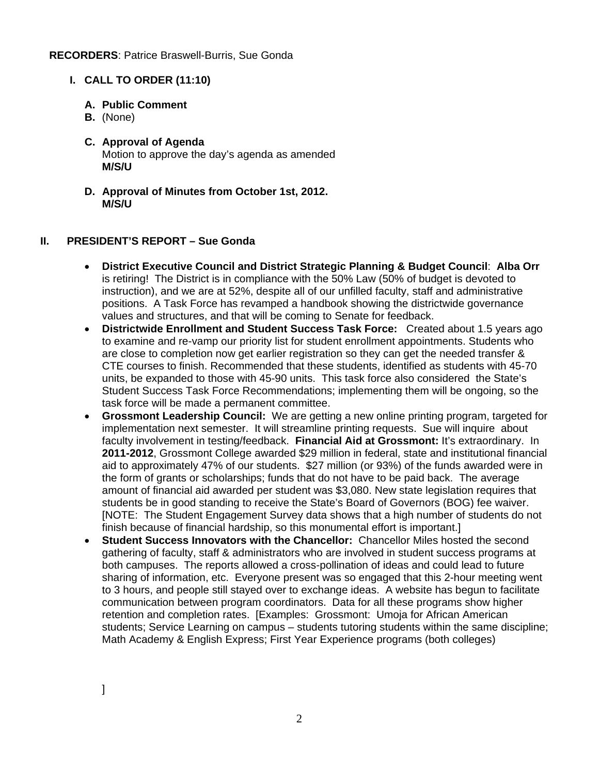#### **I. CALL TO ORDER (11:10)**

- **A. Public Comment**
- **B.** (None)
- **C. Approval of Agenda**  Motion to approve the day's agenda as amended **M/S/U**
- **D. Approval of Minutes from October 1st, 2012. M/S/U**

#### **II. PRESIDENT'S REPORT – Sue Gonda**

- **District Executive Council and District Strategic Planning & Budget Council**: **Alba Orr**  is retiring! The District is in compliance with the 50% Law (50% of budget is devoted to instruction), and we are at 52%, despite all of our unfilled faculty, staff and administrative positions. A Task Force has revamped a handbook showing the districtwide governance values and structures, and that will be coming to Senate for feedback.
- **Districtwide Enrollment and Student Success Task Force:** Created about 1.5 years ago to examine and re-vamp our priority list for student enrollment appointments. Students who are close to completion now get earlier registration so they can get the needed transfer & CTE courses to finish. Recommended that these students, identified as students with 45-70 units, be expanded to those with 45-90 units. This task force also considered the State's Student Success Task Force Recommendations; implementing them will be ongoing, so the task force will be made a permanent committee.
- **Grossmont Leadership Council:** We are getting a new online printing program, targeted for implementation next semester. It will streamline printing requests. Sue will inquire about faculty involvement in testing/feedback. **Financial Aid at Grossmont:** It's extraordinary. In **2011-2012**, Grossmont College awarded \$29 million in federal, state and institutional financial aid to approximately 47% of our students. \$27 million (or 93%) of the funds awarded were in the form of grants or scholarships; funds that do not have to be paid back. The average amount of financial aid awarded per student was \$3,080. New state legislation requires that students be in good standing to receive the State's Board of Governors (BOG) fee waiver. [NOTE: The Student Engagement Survey data shows that a high number of students do not finish because of financial hardship, so this monumental effort is important.]
- **Student Success Innovators with the Chancellor:** Chancellor Miles hosted the second gathering of faculty, staff & administrators who are involved in student success programs at both campuses. The reports allowed a cross-pollination of ideas and could lead to future sharing of information, etc. Everyone present was so engaged that this 2-hour meeting went to 3 hours, and people still stayed over to exchange ideas. A website has begun to facilitate communication between program coordinators. Data for all these programs show higher retention and completion rates. [Examples: Grossmont: Umoja for African American students; Service Learning on campus – students tutoring students within the same discipline; Math Academy & English Express; First Year Experience programs (both colleges)